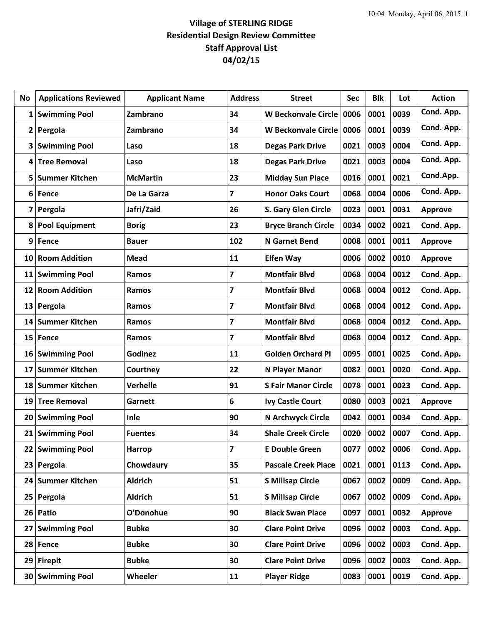| No              | <b>Applications Reviewed</b> | <b>Applicant Name</b> | <b>Address</b> | <b>Street</b>              | Sec  | <b>Blk</b> | Lot  | <b>Action</b>  |
|-----------------|------------------------------|-----------------------|----------------|----------------------------|------|------------|------|----------------|
| 1               | <b>Swimming Pool</b>         | Zambrano              | 34             | <b>W Beckonvale Circle</b> | 0006 | 0001       | 0039 | Cond. App.     |
| $\mathbf{2}$    | Pergola                      | Zambrano              | 34             | W Beckonvale Circle        | 0006 | 0001       | 0039 | Cond. App.     |
| 3               | <b>Swimming Pool</b>         | Laso                  | 18             | <b>Degas Park Drive</b>    | 0021 | 0003       | 0004 | Cond. App.     |
| 4               | <b>Tree Removal</b>          | Laso                  | 18             | <b>Degas Park Drive</b>    | 0021 | 0003       | 0004 | Cond. App.     |
| 5               | <b>Summer Kitchen</b>        | <b>McMartin</b>       | 23             | <b>Midday Sun Place</b>    | 0016 | 0001       | 0021 | Cond.App.      |
| 6               | <b>Fence</b>                 | De La Garza           | 7              | <b>Honor Oaks Court</b>    | 0068 | 0004       | 0006 | Cond. App.     |
| 7               | Pergola                      | Jafri/Zaid            | 26             | S. Gary Glen Circle        | 0023 | 0001       | 0031 | <b>Approve</b> |
| 8               | <b>Pool Equipment</b>        | <b>Borig</b>          | 23             | <b>Bryce Branch Circle</b> | 0034 | 0002       | 0021 | Cond. App.     |
| 9               | Fence                        | <b>Bauer</b>          | 102            | <b>N</b> Garnet Bend       | 0008 | 0001       | 0011 | <b>Approve</b> |
| 10              | <b>Room Addition</b>         | Mead                  | 11             | <b>Elfen Way</b>           | 0006 | 0002       | 0010 | <b>Approve</b> |
| 11              | <b>Swimming Pool</b>         | Ramos                 | 7              | <b>Montfair Blvd</b>       | 0068 | 0004       | 0012 | Cond. App.     |
| 12              | <b>Room Addition</b>         | Ramos                 | 7              | <b>Montfair Blvd</b>       | 0068 | 0004       | 0012 | Cond. App.     |
| 13              | Pergola                      | <b>Ramos</b>          | 7              | <b>Montfair Blvd</b>       | 0068 | 0004       | 0012 | Cond. App.     |
| 14              | <b>Summer Kitchen</b>        | Ramos                 | 7              | <b>Montfair Blvd</b>       | 0068 | 0004       | 0012 | Cond. App.     |
| 15              | Fence                        | Ramos                 | 7              | <b>Montfair Blvd</b>       | 0068 | 0004       | 0012 | Cond. App.     |
| 16              | <b>Swimming Pool</b>         | <b>Godinez</b>        | 11             | <b>Golden Orchard Pl</b>   | 0095 | 0001       | 0025 | Cond. App.     |
| 17              | <b>Summer Kitchen</b>        | Courtney              | 22             | N Player Manor             | 0082 | 0001       | 0020 | Cond. App.     |
| 18              | <b>Summer Kitchen</b>        | <b>Verhelle</b>       | 91             | <b>S Fair Manor Circle</b> | 0078 | 0001       | 0023 | Cond. App.     |
| 19              | <b>Tree Removal</b>          | Garnett               | 6              | <b>Ivy Castle Court</b>    | 0080 | 0003       | 0021 | <b>Approve</b> |
| 20              | <b>Swimming Pool</b>         | Inle                  | 90             | N Archwyck Circle          | 0042 | 0001       | 0034 | Cond. App.     |
|                 | 21 Swimming Pool             | <b>Fuentes</b>        | 34             | <b>Shale Creek Circle</b>  | 0020 | 0002       | 0007 | Cond. App.     |
| 22              | <b>Swimming Pool</b>         | Harrop                | 7              | <b>E Double Green</b>      | 0077 | 0002       | 0006 | Cond. App.     |
| 23              | Pergola                      | Chowdaury             | 35             | <b>Pascale Creek Place</b> | 0021 | 0001       | 0113 | Cond. App.     |
| 24              | <b>Summer Kitchen</b>        | <b>Aldrich</b>        | 51             | <b>S Millsap Circle</b>    | 0067 | 0002       | 0009 | Cond. App.     |
| 25 <sub>1</sub> | Pergola                      | <b>Aldrich</b>        | 51             | <b>S Millsap Circle</b>    | 0067 | 0002       | 0009 | Cond. App.     |
| 26              | Patio                        | O'Donohue             | 90             | <b>Black Swan Place</b>    | 0097 | 0001       | 0032 | Approve        |
| 27              | <b>Swimming Pool</b>         | <b>Bubke</b>          | 30             | <b>Clare Point Drive</b>   | 0096 | 0002       | 0003 | Cond. App.     |
| 28              | Fence                        | <b>Bubke</b>          | 30             | <b>Clare Point Drive</b>   | 0096 | 0002       | 0003 | Cond. App.     |
| 29              | <b>Firepit</b>               | <b>Bubke</b>          | 30             | <b>Clare Point Drive</b>   | 0096 | 0002       | 0003 | Cond. App.     |
| 30              | <b>Swimming Pool</b>         | Wheeler               | 11             | <b>Player Ridge</b>        | 0083 | 0001       | 0019 | Cond. App.     |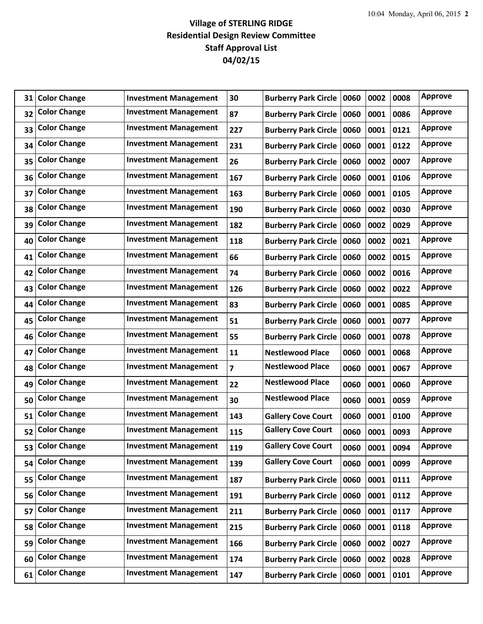| 31 | <b>Color Change</b> | <b>Investment Management</b> | 30             | <b>Burberry Park Circle</b> | 0060 | 0002 | 0008 | <b>Approve</b> |
|----|---------------------|------------------------------|----------------|-----------------------------|------|------|------|----------------|
| 32 | <b>Color Change</b> | <b>Investment Management</b> | 87             | <b>Burberry Park Circle</b> | 0060 | 0001 | 0086 | <b>Approve</b> |
| 33 | <b>Color Change</b> | <b>Investment Management</b> | 227            | <b>Burberry Park Circle</b> | 0060 | 0001 | 0121 | <b>Approve</b> |
| 34 | <b>Color Change</b> | <b>Investment Management</b> | 231            | <b>Burberry Park Circle</b> | 0060 | 0001 | 0122 | <b>Approve</b> |
| 35 | <b>Color Change</b> | <b>Investment Management</b> | 26             | <b>Burberry Park Circle</b> | 0060 | 0002 | 0007 | <b>Approve</b> |
| 36 | <b>Color Change</b> | <b>Investment Management</b> | 167            | <b>Burberry Park Circle</b> | 0060 | 0001 | 0106 | <b>Approve</b> |
| 37 | <b>Color Change</b> | <b>Investment Management</b> | 163            | <b>Burberry Park Circle</b> | 0060 | 0001 | 0105 | <b>Approve</b> |
| 38 | <b>Color Change</b> | <b>Investment Management</b> | 190            | <b>Burberry Park Circle</b> | 0060 | 0002 | 0030 | <b>Approve</b> |
| 39 | <b>Color Change</b> | <b>Investment Management</b> | 182            | <b>Burberry Park Circle</b> | 0060 | 0002 | 0029 | <b>Approve</b> |
| 40 | <b>Color Change</b> | <b>Investment Management</b> | 118            | <b>Burberry Park Circle</b> | 0060 | 0002 | 0021 | <b>Approve</b> |
| 41 | <b>Color Change</b> | <b>Investment Management</b> | 66             | <b>Burberry Park Circle</b> | 0060 | 0002 | 0015 | <b>Approve</b> |
| 42 | <b>Color Change</b> | <b>Investment Management</b> | 74             | <b>Burberry Park Circle</b> | 0060 | 0002 | 0016 | <b>Approve</b> |
| 43 | <b>Color Change</b> | <b>Investment Management</b> | 126            | <b>Burberry Park Circle</b> | 0060 | 0002 | 0022 | <b>Approve</b> |
| 44 | <b>Color Change</b> | <b>Investment Management</b> | 83             | <b>Burberry Park Circle</b> | 0060 | 0001 | 0085 | <b>Approve</b> |
| 45 | <b>Color Change</b> | <b>Investment Management</b> | 51             | <b>Burberry Park Circle</b> | 0060 | 0001 | 0077 | <b>Approve</b> |
| 46 | <b>Color Change</b> | <b>Investment Management</b> | 55             | <b>Burberry Park Circle</b> | 0060 | 0001 | 0078 | <b>Approve</b> |
| 47 | <b>Color Change</b> | <b>Investment Management</b> | 11             | <b>Nestlewood Place</b>     | 0060 | 0001 | 0068 | <b>Approve</b> |
| 48 | <b>Color Change</b> | <b>Investment Management</b> | $\overline{7}$ | <b>Nestlewood Place</b>     | 0060 | 0001 | 0067 | <b>Approve</b> |
| 49 | <b>Color Change</b> | <b>Investment Management</b> | 22             | <b>Nestlewood Place</b>     | 0060 | 0001 | 0060 | <b>Approve</b> |
| 50 | <b>Color Change</b> | <b>Investment Management</b> | 30             | <b>Nestlewood Place</b>     | 0060 | 0001 | 0059 | <b>Approve</b> |
| 51 | <b>Color Change</b> | <b>Investment Management</b> | 143            | <b>Gallery Cove Court</b>   | 0060 | 0001 | 0100 | <b>Approve</b> |
| 52 | <b>Color Change</b> | <b>Investment Management</b> | 115            | <b>Gallery Cove Court</b>   | 0060 | 0001 | 0093 | <b>Approve</b> |
| 53 | <b>Color Change</b> | <b>Investment Management</b> | 119            | <b>Gallery Cove Court</b>   | 0060 | 0001 | 0094 | <b>Approve</b> |
| 54 | <b>Color Change</b> | <b>Investment Management</b> | 139            | <b>Gallery Cove Court</b>   | 0060 | 0001 | 0099 | <b>Approve</b> |
| 55 | <b>Color Change</b> | <b>Investment Management</b> | 187            | <b>Burberry Park Circle</b> | 0060 | 0001 | 0111 | <b>Approve</b> |
| 56 | <b>Color Change</b> | <b>Investment Management</b> | 191            | <b>Burberry Park Circle</b> | 0060 | 0001 | 0112 | <b>Approve</b> |
| 57 | <b>Color Change</b> | <b>Investment Management</b> | 211            | <b>Burberry Park Circle</b> | 0060 | 0001 | 0117 | <b>Approve</b> |
| 58 | <b>Color Change</b> | <b>Investment Management</b> | 215            | <b>Burberry Park Circle</b> | 0060 | 0001 | 0118 | <b>Approve</b> |
| 59 | <b>Color Change</b> | <b>Investment Management</b> | 166            | <b>Burberry Park Circle</b> | 0060 | 0002 | 0027 | <b>Approve</b> |
| 60 | <b>Color Change</b> | <b>Investment Management</b> | 174            | <b>Burberry Park Circle</b> | 0060 | 0002 | 0028 | <b>Approve</b> |
| 61 | <b>Color Change</b> | <b>Investment Management</b> | 147            | Burberry Park Circle   0060 |      | 0001 | 0101 | <b>Approve</b> |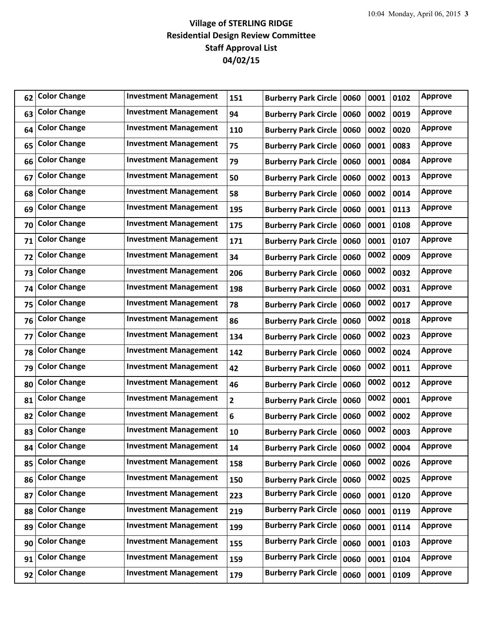| 62 | <b>Color Change</b> | <b>Investment Management</b> | 151                     | <b>Burberry Park Circle</b> | 0060 | 0001 | 0102 | <b>Approve</b> |
|----|---------------------|------------------------------|-------------------------|-----------------------------|------|------|------|----------------|
| 63 | <b>Color Change</b> | <b>Investment Management</b> | 94                      | <b>Burberry Park Circle</b> | 0060 | 0002 | 0019 | <b>Approve</b> |
| 64 | <b>Color Change</b> | <b>Investment Management</b> | 110                     | <b>Burberry Park Circle</b> | 0060 | 0002 | 0020 | <b>Approve</b> |
| 65 | <b>Color Change</b> | <b>Investment Management</b> | 75                      | <b>Burberry Park Circle</b> | 0060 | 0001 | 0083 | <b>Approve</b> |
| 66 | <b>Color Change</b> | <b>Investment Management</b> | 79                      | <b>Burberry Park Circle</b> | 0060 | 0001 | 0084 | <b>Approve</b> |
| 67 | <b>Color Change</b> | <b>Investment Management</b> | 50                      | <b>Burberry Park Circle</b> | 0060 | 0002 | 0013 | <b>Approve</b> |
| 68 | <b>Color Change</b> | <b>Investment Management</b> | 58                      | <b>Burberry Park Circle</b> | 0060 | 0002 | 0014 | <b>Approve</b> |
| 69 | <b>Color Change</b> | <b>Investment Management</b> | 195                     | <b>Burberry Park Circle</b> | 0060 | 0001 | 0113 | <b>Approve</b> |
| 70 | <b>Color Change</b> | <b>Investment Management</b> | 175                     | <b>Burberry Park Circle</b> | 0060 | 0001 | 0108 | <b>Approve</b> |
| 71 | <b>Color Change</b> | <b>Investment Management</b> | 171                     | <b>Burberry Park Circle</b> | 0060 | 0001 | 0107 | <b>Approve</b> |
| 72 | <b>Color Change</b> | <b>Investment Management</b> | 34                      | <b>Burberry Park Circle</b> | 0060 | 0002 | 0009 | <b>Approve</b> |
| 73 | <b>Color Change</b> | <b>Investment Management</b> | 206                     | <b>Burberry Park Circle</b> | 0060 | 0002 | 0032 | <b>Approve</b> |
| 74 | <b>Color Change</b> | <b>Investment Management</b> | 198                     | <b>Burberry Park Circle</b> | 0060 | 0002 | 0031 | <b>Approve</b> |
| 75 | <b>Color Change</b> | <b>Investment Management</b> | 78                      | <b>Burberry Park Circle</b> | 0060 | 0002 | 0017 | <b>Approve</b> |
| 76 | <b>Color Change</b> | <b>Investment Management</b> | 86                      | <b>Burberry Park Circle</b> | 0060 | 0002 | 0018 | <b>Approve</b> |
| 77 | <b>Color Change</b> | <b>Investment Management</b> | 134                     | <b>Burberry Park Circle</b> | 0060 | 0002 | 0023 | <b>Approve</b> |
| 78 | <b>Color Change</b> | <b>Investment Management</b> | 142                     | <b>Burberry Park Circle</b> | 0060 | 0002 | 0024 | <b>Approve</b> |
| 79 | <b>Color Change</b> | <b>Investment Management</b> | 42                      | <b>Burberry Park Circle</b> | 0060 | 0002 | 0011 | <b>Approve</b> |
| 80 | <b>Color Change</b> | <b>Investment Management</b> | 46                      | <b>Burberry Park Circle</b> | 0060 | 0002 | 0012 | <b>Approve</b> |
| 81 | <b>Color Change</b> | <b>Investment Management</b> | $\overline{\mathbf{2}}$ | <b>Burberry Park Circle</b> | 0060 | 0002 | 0001 | <b>Approve</b> |
| 82 | <b>Color Change</b> | <b>Investment Management</b> | 6                       | <b>Burberry Park Circle</b> | 0060 | 0002 | 0002 | <b>Approve</b> |
| 83 | <b>Color Change</b> | <b>Investment Management</b> | 10                      | <b>Burberry Park Circle</b> | 0060 | 0002 | 0003 | <b>Approve</b> |
| 84 | <b>Color Change</b> | <b>Investment Management</b> | 14                      | <b>Burberry Park Circle</b> | 0060 | 0002 | 0004 | <b>Approve</b> |
| 85 | <b>Color Change</b> | <b>Investment Management</b> | 158                     | <b>Burberry Park Circle</b> | 0060 | 0002 | 0026 | <b>Approve</b> |
| 86 | <b>Color Change</b> | <b>Investment Management</b> | 150                     | <b>Burberry Park Circle</b> | 0060 | 0002 | 0025 | <b>Approve</b> |
| 87 | <b>Color Change</b> | <b>Investment Management</b> | 223                     | <b>Burberry Park Circle</b> | 0060 | 0001 | 0120 | <b>Approve</b> |
| 88 | <b>Color Change</b> | <b>Investment Management</b> | 219                     | <b>Burberry Park Circle</b> | 0060 | 0001 | 0119 | <b>Approve</b> |
| 89 | <b>Color Change</b> | <b>Investment Management</b> | 199                     | <b>Burberry Park Circle</b> | 0060 | 0001 | 0114 | <b>Approve</b> |
| 90 | <b>Color Change</b> | <b>Investment Management</b> | 155                     | <b>Burberry Park Circle</b> | 0060 | 0001 | 0103 | <b>Approve</b> |
| 91 | <b>Color Change</b> | <b>Investment Management</b> | 159                     | <b>Burberry Park Circle</b> | 0060 | 0001 | 0104 | <b>Approve</b> |
| 92 | <b>Color Change</b> | <b>Investment Management</b> | 179                     | <b>Burberry Park Circle</b> | 0060 | 0001 | 0109 | <b>Approve</b> |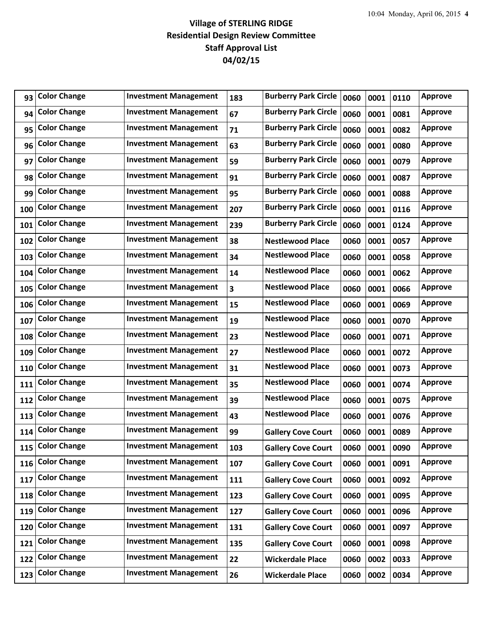| 93  | <b>Color Change</b> | <b>Investment Management</b> | 183                     | <b>Burberry Park Circle</b> | 0060 | 0001 | 0110 | <b>Approve</b> |
|-----|---------------------|------------------------------|-------------------------|-----------------------------|------|------|------|----------------|
| 94  | <b>Color Change</b> | <b>Investment Management</b> | 67                      | <b>Burberry Park Circle</b> | 0060 | 0001 | 0081 | <b>Approve</b> |
| 95  | <b>Color Change</b> | <b>Investment Management</b> | 71                      | <b>Burberry Park Circle</b> | 0060 | 0001 | 0082 | <b>Approve</b> |
| 96  | <b>Color Change</b> | <b>Investment Management</b> | 63                      | <b>Burberry Park Circle</b> | 0060 | 0001 | 0080 | <b>Approve</b> |
| 97  | <b>Color Change</b> | <b>Investment Management</b> | 59                      | <b>Burberry Park Circle</b> | 0060 | 0001 | 0079 | <b>Approve</b> |
| 98  | <b>Color Change</b> | <b>Investment Management</b> | 91                      | <b>Burberry Park Circle</b> | 0060 | 0001 | 0087 | <b>Approve</b> |
| 99  | <b>Color Change</b> | <b>Investment Management</b> | 95                      | <b>Burberry Park Circle</b> | 0060 | 0001 | 0088 | <b>Approve</b> |
| 100 | <b>Color Change</b> | <b>Investment Management</b> | 207                     | <b>Burberry Park Circle</b> | 0060 | 0001 | 0116 | <b>Approve</b> |
| 101 | <b>Color Change</b> | <b>Investment Management</b> | 239                     | <b>Burberry Park Circle</b> | 0060 | 0001 | 0124 | <b>Approve</b> |
| 102 | <b>Color Change</b> | <b>Investment Management</b> | 38                      | <b>Nestlewood Place</b>     | 0060 | 0001 | 0057 | <b>Approve</b> |
| 103 | <b>Color Change</b> | <b>Investment Management</b> | 34                      | <b>Nestlewood Place</b>     | 0060 | 0001 | 0058 | <b>Approve</b> |
| 104 | <b>Color Change</b> | <b>Investment Management</b> | 14                      | <b>Nestlewood Place</b>     | 0060 | 0001 | 0062 | <b>Approve</b> |
| 105 | <b>Color Change</b> | <b>Investment Management</b> | $\overline{\mathbf{3}}$ | <b>Nestlewood Place</b>     | 0060 | 0001 | 0066 | <b>Approve</b> |
| 106 | <b>Color Change</b> | <b>Investment Management</b> | 15                      | <b>Nestlewood Place</b>     | 0060 | 0001 | 0069 | Approve        |
| 107 | <b>Color Change</b> | <b>Investment Management</b> | 19                      | <b>Nestlewood Place</b>     | 0060 | 0001 | 0070 | <b>Approve</b> |
| 108 | <b>Color Change</b> | <b>Investment Management</b> | 23                      | <b>Nestlewood Place</b>     | 0060 | 0001 | 0071 | <b>Approve</b> |
| 109 | <b>Color Change</b> | <b>Investment Management</b> | 27                      | <b>Nestlewood Place</b>     | 0060 | 0001 | 0072 | <b>Approve</b> |
| 110 | <b>Color Change</b> | <b>Investment Management</b> | 31                      | <b>Nestlewood Place</b>     | 0060 | 0001 | 0073 | <b>Approve</b> |
| 111 | <b>Color Change</b> | <b>Investment Management</b> | 35                      | <b>Nestlewood Place</b>     | 0060 | 0001 | 0074 | <b>Approve</b> |
| 112 | <b>Color Change</b> | <b>Investment Management</b> | 39                      | <b>Nestlewood Place</b>     | 0060 | 0001 | 0075 | <b>Approve</b> |
| 113 | <b>Color Change</b> | <b>Investment Management</b> | 43                      | <b>Nestlewood Place</b>     | 0060 | 0001 | 0076 | <b>Approve</b> |
| 114 | <b>Color Change</b> | <b>Investment Management</b> | 99                      | <b>Gallery Cove Court</b>   | 0060 | 0001 | 0089 | <b>Approve</b> |
| 115 | <b>Color Change</b> | <b>Investment Management</b> | 103                     | <b>Gallery Cove Court</b>   | 0060 | 0001 | 0090 | <b>Approve</b> |
| 116 | <b>Color Change</b> | <b>Investment Management</b> | 107                     | <b>Gallery Cove Court</b>   | 0060 | 0001 | 0091 | Approve        |
| 117 | <b>Color Change</b> | <b>Investment Management</b> | 111                     | <b>Gallery Cove Court</b>   | 0060 | 0001 | 0092 | Approve        |
| 118 | <b>Color Change</b> | <b>Investment Management</b> | 123                     | <b>Gallery Cove Court</b>   | 0060 | 0001 | 0095 | <b>Approve</b> |
| 119 | <b>Color Change</b> | <b>Investment Management</b> | 127                     | <b>Gallery Cove Court</b>   | 0060 | 0001 | 0096 | <b>Approve</b> |
| 120 | <b>Color Change</b> | <b>Investment Management</b> | 131                     | <b>Gallery Cove Court</b>   | 0060 | 0001 | 0097 | <b>Approve</b> |
| 121 | <b>Color Change</b> | <b>Investment Management</b> | 135                     | <b>Gallery Cove Court</b>   | 0060 | 0001 | 0098 | <b>Approve</b> |
| 122 | <b>Color Change</b> | <b>Investment Management</b> | 22                      | <b>Wickerdale Place</b>     | 0060 | 0002 | 0033 | <b>Approve</b> |
| 123 | <b>Color Change</b> | <b>Investment Management</b> | 26                      | <b>Wickerdale Place</b>     | 0060 | 0002 | 0034 | <b>Approve</b> |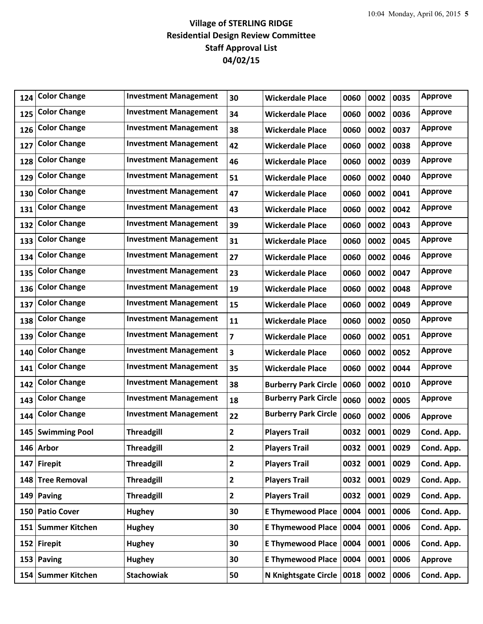| 124 | <b>Color Change</b> | <b>Investment Management</b> | 30             | <b>Wickerdale Place</b>     | 0060 | 0002 | 0035 | Approve        |
|-----|---------------------|------------------------------|----------------|-----------------------------|------|------|------|----------------|
| 125 | <b>Color Change</b> | <b>Investment Management</b> | 34             | <b>Wickerdale Place</b>     | 0060 | 0002 | 0036 | <b>Approve</b> |
| 126 | <b>Color Change</b> | <b>Investment Management</b> | 38             | <b>Wickerdale Place</b>     | 0060 | 0002 | 0037 | <b>Approve</b> |
| 127 | <b>Color Change</b> | <b>Investment Management</b> | 42             | <b>Wickerdale Place</b>     | 0060 | 0002 | 0038 | <b>Approve</b> |
| 128 | <b>Color Change</b> | <b>Investment Management</b> | 46             | <b>Wickerdale Place</b>     | 0060 | 0002 | 0039 | <b>Approve</b> |
| 129 | <b>Color Change</b> | <b>Investment Management</b> | 51             | <b>Wickerdale Place</b>     | 0060 | 0002 | 0040 | <b>Approve</b> |
| 130 | <b>Color Change</b> | <b>Investment Management</b> | 47             | <b>Wickerdale Place</b>     | 0060 | 0002 | 0041 | <b>Approve</b> |
| 131 | <b>Color Change</b> | <b>Investment Management</b> | 43             | <b>Wickerdale Place</b>     | 0060 | 0002 | 0042 | <b>Approve</b> |
| 132 | <b>Color Change</b> | <b>Investment Management</b> | 39             | <b>Wickerdale Place</b>     | 0060 | 0002 | 0043 | <b>Approve</b> |
| 133 | <b>Color Change</b> | <b>Investment Management</b> | 31             | <b>Wickerdale Place</b>     | 0060 | 0002 | 0045 | <b>Approve</b> |
| 134 | <b>Color Change</b> | <b>Investment Management</b> | 27             | <b>Wickerdale Place</b>     | 0060 | 0002 | 0046 | <b>Approve</b> |
| 135 | <b>Color Change</b> | <b>Investment Management</b> | 23             | <b>Wickerdale Place</b>     | 0060 | 0002 | 0047 | <b>Approve</b> |
| 136 | <b>Color Change</b> | <b>Investment Management</b> | 19             | <b>Wickerdale Place</b>     | 0060 | 0002 | 0048 | <b>Approve</b> |
| 137 | <b>Color Change</b> | <b>Investment Management</b> | 15             | <b>Wickerdale Place</b>     | 0060 | 0002 | 0049 | <b>Approve</b> |
| 138 | <b>Color Change</b> | <b>Investment Management</b> | 11             | <b>Wickerdale Place</b>     | 0060 | 0002 | 0050 | <b>Approve</b> |
| 139 | <b>Color Change</b> | <b>Investment Management</b> | $\overline{7}$ | <b>Wickerdale Place</b>     | 0060 | 0002 | 0051 | <b>Approve</b> |
| 140 | <b>Color Change</b> | <b>Investment Management</b> | 3              | <b>Wickerdale Place</b>     | 0060 | 0002 | 0052 | <b>Approve</b> |
| 141 | <b>Color Change</b> | <b>Investment Management</b> | 35             | <b>Wickerdale Place</b>     | 0060 | 0002 | 0044 | <b>Approve</b> |
| 142 | <b>Color Change</b> | <b>Investment Management</b> | 38             | <b>Burberry Park Circle</b> | 0060 | 0002 | 0010 | <b>Approve</b> |
| 143 | <b>Color Change</b> | <b>Investment Management</b> | 18             | <b>Burberry Park Circle</b> | 0060 | 0002 | 0005 | <b>Approve</b> |
| 144 | <b>Color Change</b> | <b>Investment Management</b> | 22             | <b>Burberry Park Circle</b> | 0060 | 0002 | 0006 | <b>Approve</b> |
|     | 145 Swimming Pool   | <b>Threadgill</b>            | $\mathbf{2}$   | <b>Players Trail</b>        | 0032 | 0001 | 0029 | Cond. App.     |
|     | 146 Arbor           | <b>Threadgill</b>            | $\mathbf{2}$   | <b>Players Trail</b>        | 0032 | 0001 | 0029 | Cond. App.     |
| 147 | <b>Firepit</b>      | <b>Threadgill</b>            | $\overline{2}$ | <b>Players Trail</b>        | 0032 | 0001 | 0029 | Cond. App.     |
| 148 | <b>Tree Removal</b> | <b>Threadgill</b>            | $\mathbf{2}$   | <b>Players Trail</b>        | 0032 | 0001 | 0029 | Cond. App.     |
|     | 149 Paving          | <b>Threadgill</b>            | $\mathbf{2}$   | <b>Players Trail</b>        | 0032 | 0001 | 0029 | Cond. App.     |
|     | 150 Patio Cover     | <b>Hughey</b>                | 30             | <b>E Thymewood Place</b>    | 0004 | 0001 | 0006 | Cond. App.     |
|     | 151 Summer Kitchen  | <b>Hughey</b>                | 30             | <b>E Thymewood Place</b>    | 0004 | 0001 | 0006 | Cond. App.     |
|     | 152 Firepit         | <b>Hughey</b>                | 30             | <b>E Thymewood Place</b>    | 0004 | 0001 | 0006 | Cond. App.     |
|     | 153 Paving          | <b>Hughey</b>                | 30             | <b>E Thymewood Place</b>    | 0004 | 0001 | 0006 | Approve        |
|     | 154 Summer Kitchen  | <b>Stachowiak</b>            | 50             | N Knightsgate Circle   0018 |      | 0002 | 0006 | Cond. App.     |